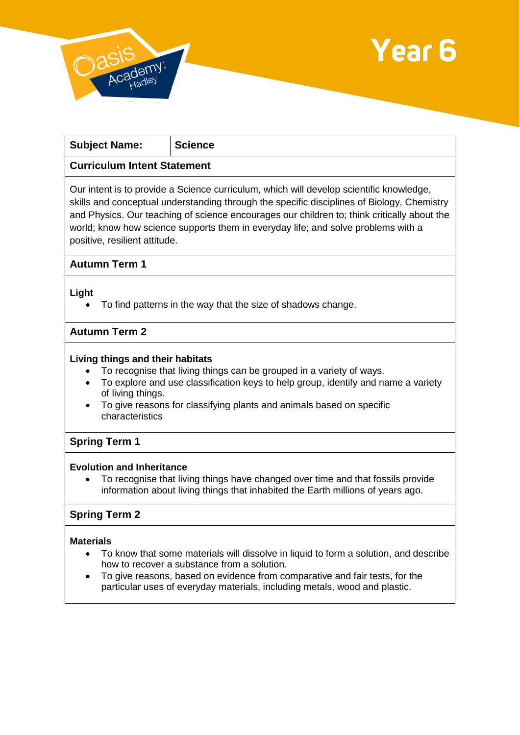



| <b>Subject Name:</b>                                                                                                                                                                  | <b>Science</b> |
|---------------------------------------------------------------------------------------------------------------------------------------------------------------------------------------|----------------|
| <b>Curriculum Intent Statement</b>                                                                                                                                                    |                |
| Our intent is to provide a Science curriculum, which will develop scientific knowledge,<br>skills and conceptual understanding through the specific disciplines of Biology, Chemistry |                |

and Physics. Our teaching of science encourages our children to; think critically about the world; know how science supports them in everyday life; and solve problems with a positive, resilient attitude.

## **Autumn Term 1**

### **Light**

To find patterns in the way that the size of shadows change.

### **Autumn Term 2**

### **Living things and their habitats**

- To recognise that living things can be grouped in a variety of ways.
- To explore and use classification keys to help group, identify and name a variety of living things.
- To give reasons for classifying plants and animals based on specific characteristics

## **Spring Term 1**

### **Evolution and Inheritance**

 To recognise that living things have changed over time and that fossils provide information about living things that inhabited the Earth millions of years ago.

# **Spring Term 2**

### **Materials**

- To know that some materials will dissolve in liquid to form a solution, and describe how to recover a substance from a solution.
- To give reasons, based on evidence from comparative and fair tests, for the particular uses of everyday materials, including metals, wood and plastic.